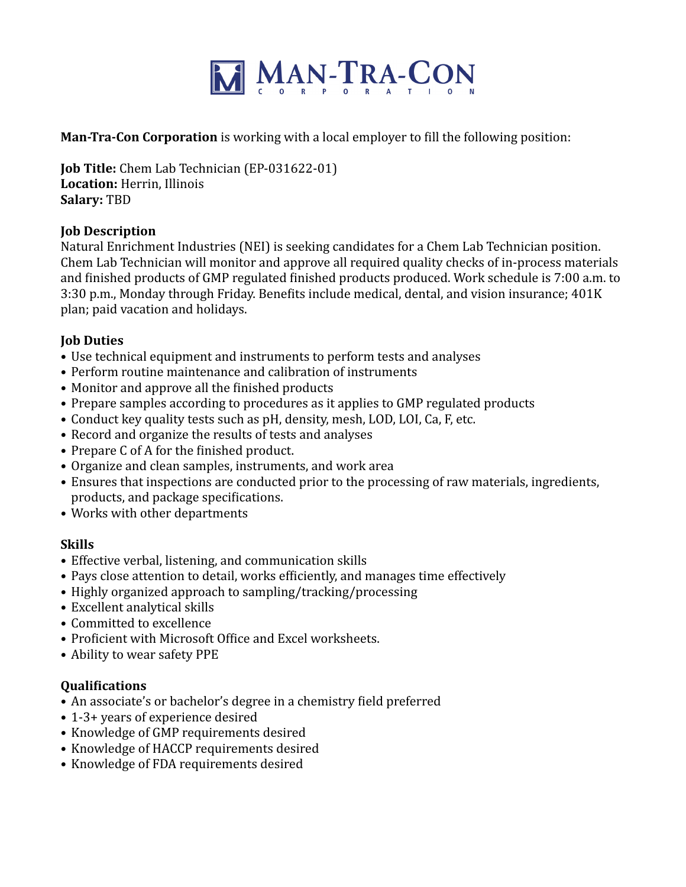

**Man-Tra-Con Corporation** is working with a local employer to fill the following position:

**Job Title:** Chem Lab Technician (EP-031622-01) Location: Herrin, Illinois **Salary:** TBD

# **Job Description**

Natural Enrichment Industries (NEI) is seeking candidates for a Chem Lab Technician position. Chem Lab Technician will monitor and approve all required quality checks of in-process materials and finished products of GMP regulated finished products produced. Work schedule is 7:00 a.m. to 3:30 p.m., Monday through Friday. Benefits include medical, dental, and vision insurance; 401K plan; paid vacation and holidays.

# **Job Duties**

- Use technical equipment and instruments to perform tests and analyses
- Perform routine maintenance and calibration of instruments
- Monitor and approve all the finished products
- Prepare samples according to procedures as it applies to GMP regulated products
- Conduct key quality tests such as pH, density, mesh, LOD, LOI, Ca, F, etc.
- Record and organize the results of tests and analyses
- Prepare C of A for the finished product.
- Organize and clean samples, instruments, and work area
- Ensures that inspections are conducted prior to the processing of raw materials, ingredients, products, and package specifications.
- Works with other departments

# **Skills**

- Effective verbal, listening, and communication skills
- Pays close attention to detail, works efficiently, and manages time effectively
- Highly organized approach to sampling/tracking/processing
- Excellent analytical skills
- Committed to excellence
- Proficient with Microsoft Office and Excel worksheets.
- Ability to wear safety PPE

#### **Qualifications**

- An associate's or bachelor's degree in a chemistry field preferred
- 1-3+ years of experience desired
- Knowledge of GMP requirements desired
- Knowledge of HACCP requirements desired
- Knowledge of FDA requirements desired